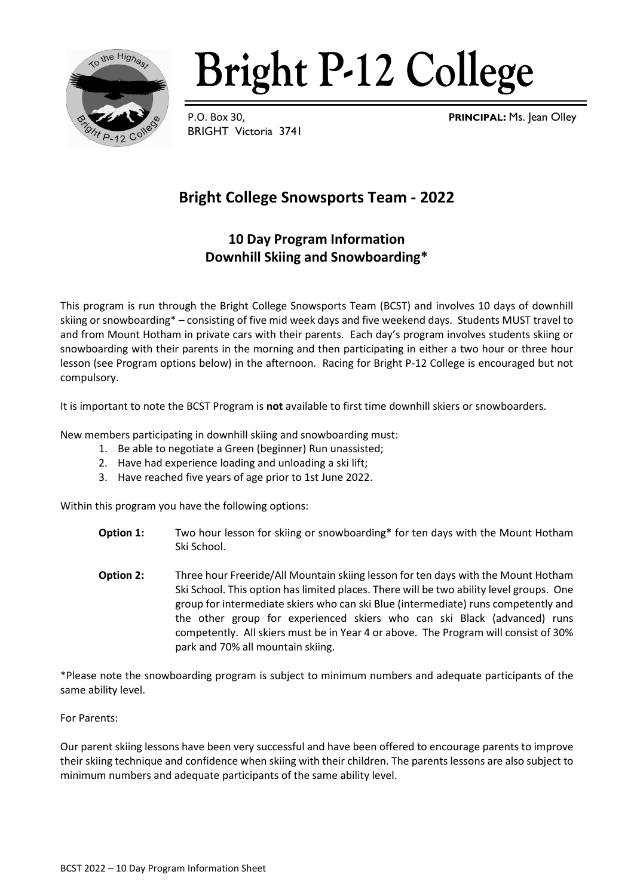

# **Bright P-12 College**

BRIGHT Victoria 3741

P.O. Box 30, **PRINCIPAL:** Ms. Jean Olley

## **Bright College Snowsports Team - 2022**

### **10 Day Program Information Downhill Skiing and Snowboarding\***

This program is run through the Bright College Snowsports Team (BCST) and involves 10 days of downhill skiing or snowboarding\* – consisting of five mid week days and five weekend days. Students MUST travel to and from Mount Hotham in private cars with their parents. Each day's program involves students skiing or snowboarding with their parents in the morning and then participating in either a two hour or three hour lesson (see Program options below) in the afternoon. Racing for Bright P-12 College is encouraged but not compulsory.

It is important to note the BCST Program is **not** available to first time downhill skiers or snowboarders.

New members participating in downhill skiing and snowboarding must:

- 1. Be able to negotiate a Green (beginner) Run unassisted;
- 2. Have had experience loading and unloading a ski lift;
- 3. Have reached five years of age prior to 1st June 2022.

Within this program you have the following options:

- **Option 1:** Two hour lesson for skiing or snowboarding\* for ten days with the Mount Hotham Ski School.
- **Option 2:** Three hour Freeride/All Mountain skiing lesson for ten days with the Mount Hotham Ski School. This option has limited places. There will be two ability level groups. One group for intermediate skiers who can ski Blue (intermediate) runs competently and the other group for experienced skiers who can ski Black (advanced) runs competently. All skiers must be in Year 4 or above. The Program will consist of 30% park and 70% all mountain skiing.

\*Please note the snowboarding program is subject to minimum numbers and adequate participants of the same ability level.

For Parents:

Our parent skiing lessons have been very successful and have been offered to encourage parents to improve their skiing technique and confidence when skiing with their children. The parents lessons are also subject to minimum numbers and adequate participants of the same ability level.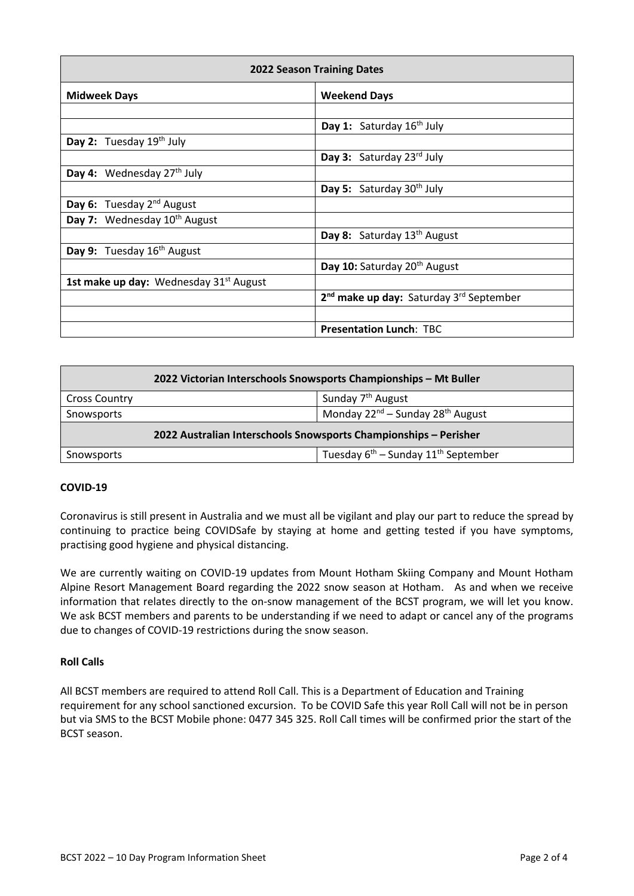| <b>2022 Season Training Dates</b>                  |                                                                 |  |
|----------------------------------------------------|-----------------------------------------------------------------|--|
| <b>Midweek Days</b>                                | <b>Weekend Days</b>                                             |  |
|                                                    |                                                                 |  |
|                                                    | Day 1: Saturday 16 <sup>th</sup> July                           |  |
| Day 2: Tuesday 19th July                           |                                                                 |  |
|                                                    | Day 3: Saturday 23rd July                                       |  |
| Day 4: Wednesday 27 <sup>th</sup> July             |                                                                 |  |
|                                                    | Day 5: Saturday 30 <sup>th</sup> July                           |  |
| Day 6: Tuesday 2 <sup>nd</sup> August              |                                                                 |  |
| Day 7: Wednesday 10 <sup>th</sup> August           |                                                                 |  |
|                                                    | Day 8: Saturday 13 <sup>th</sup> August                         |  |
| Day 9: Tuesday 16 <sup>th</sup> August             |                                                                 |  |
|                                                    | Day 10: Saturday 20 <sup>th</sup> August                        |  |
| 1st make up day: Wednesday 31 <sup>st</sup> August |                                                                 |  |
|                                                    | 2 <sup>nd</sup> make up day: Saturday 3 <sup>rd</sup> September |  |
|                                                    |                                                                 |  |
|                                                    | <b>Presentation Lunch: TBC</b>                                  |  |

| 2022 Victorian Interschools Snowsports Championships - Mt Buller |                                                   |  |
|------------------------------------------------------------------|---------------------------------------------------|--|
| <b>Cross Country</b>                                             | Sunday 7 <sup>th</sup> August                     |  |
| Snowsports                                                       | Monday $22^{nd}$ – Sunday $28^{th}$ August        |  |
| 2022 Australian Interschools Snowsports Championships - Perisher |                                                   |  |
| Snowsports                                                       | Tuesday $6th$ – Sunday 11 <sup>th</sup> September |  |

#### **COVID-19**

Coronavirus is still present in Australia and we must all be vigilant and play our part to reduce the spread by continuing to practice being COVIDSafe by staying at home and getting tested if you have symptoms, practising good hygiene and physical distancing.

We are currently waiting on COVID-19 updates from Mount Hotham Skiing Company and Mount Hotham Alpine Resort Management Board regarding the 2022 snow season at Hotham. As and when we receive information that relates directly to the on-snow management of the BCST program, we will let you know. We ask BCST members and parents to be understanding if we need to adapt or cancel any of the programs due to changes of COVID-19 restrictions during the snow season.

#### **Roll Calls**

All BCST members are required to attend Roll Call. This is a Department of Education and Training requirement for any school sanctioned excursion. To be COVID Safe this year Roll Call will not be in person but via SMS to the BCST Mobile phone: 0477 345 325. Roll Call times will be confirmed prior the start of the BCST season.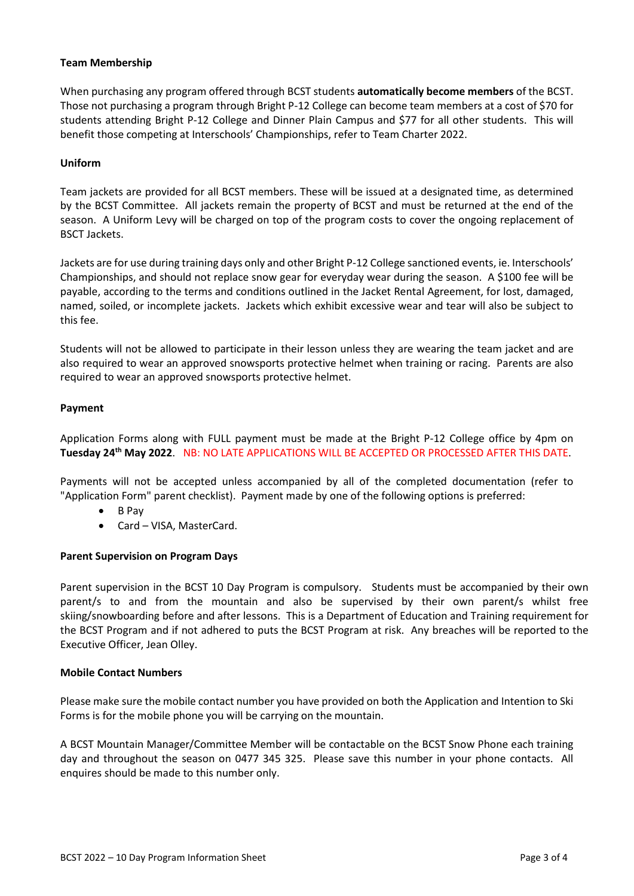#### **Team Membership**

When purchasing any program offered through BCST students **automatically become members** of the BCST. Those not purchasing a program through Bright P-12 College can become team members at a cost of \$70 for students attending Bright P-12 College and Dinner Plain Campus and \$77 for all other students. This will benefit those competing at Interschools' Championships, refer to Team Charter 2022.

#### **Uniform**

Team jackets are provided for all BCST members. These will be issued at a designated time, as determined by the BCST Committee. All jackets remain the property of BCST and must be returned at the end of the season. A Uniform Levy will be charged on top of the program costs to cover the ongoing replacement of BSCT Jackets.

Jackets are for use during training days only and other Bright P-12 College sanctioned events, ie. Interschools' Championships, and should not replace snow gear for everyday wear during the season. A \$100 fee will be payable, according to the terms and conditions outlined in the Jacket Rental Agreement, for lost, damaged, named, soiled, or incomplete jackets. Jackets which exhibit excessive wear and tear will also be subject to this fee.

Students will not be allowed to participate in their lesson unless they are wearing the team jacket and are also required to wear an approved snowsports protective helmet when training or racing. Parents are also required to wear an approved snowsports protective helmet.

#### **Payment**

Application Forms along with FULL payment must be made at the Bright P-12 College office by 4pm on **Tuesday 24th May 2022**. NB: NO LATE APPLICATIONS WILL BE ACCEPTED OR PROCESSED AFTER THIS DATE.

Payments will not be accepted unless accompanied by all of the completed documentation (refer to "Application Form" parent checklist). Payment made by one of the following options is preferred:

- B Pay
- Card VISA, MasterCard.

#### **Parent Supervision on Program Days**

Parent supervision in the BCST 10 Day Program is compulsory. Students must be accompanied by their own parent/s to and from the mountain and also be supervised by their own parent/s whilst free skiing/snowboarding before and after lessons. This is a Department of Education and Training requirement for the BCST Program and if not adhered to puts the BCST Program at risk. Any breaches will be reported to the Executive Officer, Jean Olley.

#### **Mobile Contact Numbers**

Please make sure the mobile contact number you have provided on both the Application and Intention to Ski Forms is for the mobile phone you will be carrying on the mountain.

A BCST Mountain Manager/Committee Member will be contactable on the BCST Snow Phone each training day and throughout the season on 0477 345 325. Please save this number in your phone contacts. All enquires should be made to this number only.